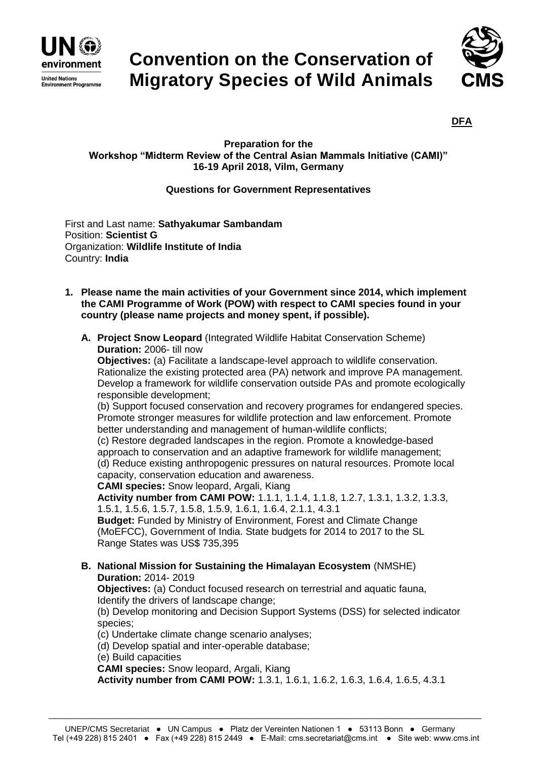

## **Convention on the Conservation of Migratory Species of Wild Animals**



**DFA**

## **Preparation for the Workshop "Midterm Review of the Central Asian Mammals Initiative (CAMI)" 16-19 April 2018, Vilm, Germany**

## **Questions for Government Representatives**

First and Last name: **Sathyakumar Sambandam** Position: **Scientist G** Organization: **Wildlife Institute of India** Country: **India**

- **1. Please name the main activities of your Government since 2014, which implement the CAMI Programme of Work (POW) with respect to CAMI species found in your country (please name projects and money spent, if possible).**
	- **A. Project Snow Leopard** (Integrated Wildlife Habitat Conservation Scheme) **Duration:** 2006- till now

**Objectives:** (a) Facilitate a landscape-level approach to wildlife conservation. Rationalize the existing protected area (PA) network and improve PA management. Develop a framework for wildlife conservation outside PAs and promote ecologically responsible development;

(b) Support focused conservation and recovery programes for endangered species. Promote stronger measures for wildlife protection and law enforcement. Promote better understanding and management of human-wildlife conflicts;

(c) Restore degraded landscapes in the region. Promote a knowledge-based approach to conservation and an adaptive framework for wildlife management; (d) Reduce existing anthropogenic pressures on natural resources. Promote local capacity, conservation education and awareness.

**CAMI species:** Snow leopard, Argali, Kiang

**Activity number from CAMI POW:** 1.1.1, 1.1.4, 1.1.8, 1.2.7, 1.3.1, 1.3.2, 1.3.3, 1.5.1, 1.5.6, 1.5.7, 1.5.8, 1.5.9, 1.6.1, 1.6.4, 2.1.1, 4.3.1

**Budget:** Funded by Ministry of Environment, Forest and Climate Change (MoEFCC), Government of India. State budgets for 2014 to 2017 to the SL Range States was US\$ 735,395

**B. National Mission for Sustaining the Himalayan Ecosystem** (NMSHE) **Duration:** 2014- 2019

**Objectives:** (a) Conduct focused research on terrestrial and aquatic fauna, Identify the drivers of landscape change;

(b) Develop monitoring and Decision Support Systems (DSS) for selected indicator species;

(c) Undertake climate change scenario analyses;

(d) Develop spatial and inter-operable database;

(e) Build capacities

**CAMI species:** Snow leopard, Argali, Kiang

**Activity number from CAMI POW:** 1.3.1, 1.6.1, 1.6.2, 1.6.3, 1.6.4, 1.6.5, 4.3.1

\_\_\_\_\_\_\_\_\_\_\_\_\_\_\_\_\_\_\_\_\_\_\_\_\_\_\_\_\_\_\_\_\_\_\_\_\_\_\_\_\_\_\_\_\_\_\_\_\_\_\_\_\_\_\_\_\_\_\_\_\_\_\_\_\_\_\_\_\_\_\_\_\_\_\_\_\_\_\_\_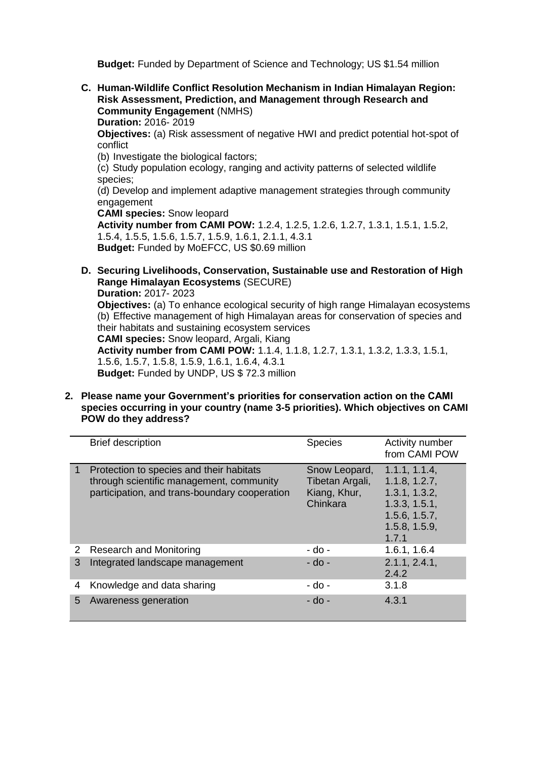**Budget:** Funded by Department of Science and Technology; US \$1.54 million

**C. Human-Wildlife Conflict Resolution Mechanism in Indian Himalayan Region: Risk Assessment, Prediction, and Management through Research and Community Engagement** (NMHS) **Duration:** 2016- 2019

**Objectives:** (a) Risk assessment of negative HWI and predict potential hot-spot of conflict

(b) Investigate the biological factors;

(c) Study population ecology, ranging and activity patterns of selected wildlife species;

(d) Develop and implement adaptive management strategies through community engagement

**CAMI species:** Snow leopard

**Activity number from CAMI POW:** 1.2.4, 1.2.5, 1.2.6, 1.2.7, 1.3.1, 1.5.1, 1.5.2, 1.5.4, 1.5.5, 1.5.6, 1.5.7, 1.5.9, 1.6.1, 2.1.1, 4.3.1 **Budget:** Funded by MoEFCC, US \$0.69 million

- **D. Securing Livelihoods, Conservation, Sustainable use and Restoration of High Range Himalayan Ecosystems** (SECURE) **Duration:** 2017- 2023 **Objectives:** (a) To enhance ecological security of high range Himalayan ecosystems (b) Effective management of high Himalayan areas for conservation of species and their habitats and sustaining ecosystem services **CAMI species:** Snow leopard, Argali, Kiang **Activity number from CAMI POW:** 1.1.4, 1.1.8, 1.2.7, 1.3.1, 1.3.2, 1.3.3, 1.5.1, 1.5.6, 1.5.7, 1.5.8, 1.5.9, 1.6.1, 1.6.4, 4.3.1 **Budget:** Funded by UNDP, US \$ 72.3 million
- **2. Please name your Government's priorities for conservation action on the CAMI species occurring in your country (name 3-5 priorities). Which objectives on CAMI POW do they address?**

|   | <b>Brief description</b>                                                                                                              | <b>Species</b>                                               | Activity number<br>from CAMI POW                                                                            |
|---|---------------------------------------------------------------------------------------------------------------------------------------|--------------------------------------------------------------|-------------------------------------------------------------------------------------------------------------|
|   | Protection to species and their habitats<br>through scientific management, community<br>participation, and trans-boundary cooperation | Snow Leopard,<br>Tibetan Argali,<br>Kiang, Khur,<br>Chinkara | 1.1.1, 1.1.4,<br>1.1.8, 1.2.7,<br>1.3.1, 1.3.2,<br>1.3.3, 1.5.1,<br>1.5.6, 1.5.7,<br>1.5.8, 1.5.9,<br>1.7.1 |
| 2 | <b>Research and Monitoring</b>                                                                                                        | - do -                                                       | 1.6.1, 1.6.4                                                                                                |
| 3 | Integrated landscape management                                                                                                       | - do -                                                       | 2.1.1, 2.4.1,<br>2.4.2                                                                                      |
| 4 | Knowledge and data sharing                                                                                                            | - do -                                                       | 3.1.8                                                                                                       |
| 5 | Awareness generation                                                                                                                  | - do -                                                       | 4.3.1                                                                                                       |